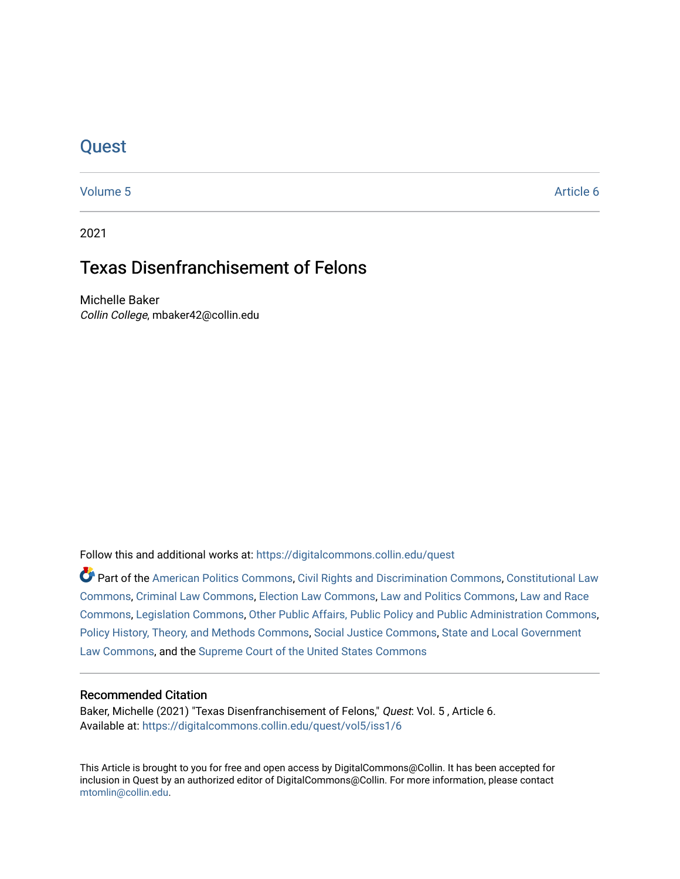# **Quest**

[Volume 5](https://digitalcommons.collin.edu/quest/vol5) Article 6

2021

# Texas Disenfranchisement of Felons

Michelle Baker Collin College, mbaker42@collin.edu

Follow this and additional works at: [https://digitalcommons.collin.edu/quest](https://digitalcommons.collin.edu/quest?utm_source=digitalcommons.collin.edu%2Fquest%2Fvol5%2Fiss1%2F6&utm_medium=PDF&utm_campaign=PDFCoverPages) 

Part of the [American Politics Commons,](http://network.bepress.com/hgg/discipline/387?utm_source=digitalcommons.collin.edu%2Fquest%2Fvol5%2Fiss1%2F6&utm_medium=PDF&utm_campaign=PDFCoverPages) [Civil Rights and Discrimination Commons,](http://network.bepress.com/hgg/discipline/585?utm_source=digitalcommons.collin.edu%2Fquest%2Fvol5%2Fiss1%2F6&utm_medium=PDF&utm_campaign=PDFCoverPages) [Constitutional Law](http://network.bepress.com/hgg/discipline/589?utm_source=digitalcommons.collin.edu%2Fquest%2Fvol5%2Fiss1%2F6&utm_medium=PDF&utm_campaign=PDFCoverPages) [Commons](http://network.bepress.com/hgg/discipline/589?utm_source=digitalcommons.collin.edu%2Fquest%2Fvol5%2Fiss1%2F6&utm_medium=PDF&utm_campaign=PDFCoverPages), [Criminal Law Commons,](http://network.bepress.com/hgg/discipline/912?utm_source=digitalcommons.collin.edu%2Fquest%2Fvol5%2Fiss1%2F6&utm_medium=PDF&utm_campaign=PDFCoverPages) [Election Law Commons](http://network.bepress.com/hgg/discipline/1121?utm_source=digitalcommons.collin.edu%2Fquest%2Fvol5%2Fiss1%2F6&utm_medium=PDF&utm_campaign=PDFCoverPages), [Law and Politics Commons](http://network.bepress.com/hgg/discipline/867?utm_source=digitalcommons.collin.edu%2Fquest%2Fvol5%2Fiss1%2F6&utm_medium=PDF&utm_campaign=PDFCoverPages), [Law and Race](http://network.bepress.com/hgg/discipline/1300?utm_source=digitalcommons.collin.edu%2Fquest%2Fvol5%2Fiss1%2F6&utm_medium=PDF&utm_campaign=PDFCoverPages)  [Commons](http://network.bepress.com/hgg/discipline/1300?utm_source=digitalcommons.collin.edu%2Fquest%2Fvol5%2Fiss1%2F6&utm_medium=PDF&utm_campaign=PDFCoverPages), [Legislation Commons,](http://network.bepress.com/hgg/discipline/859?utm_source=digitalcommons.collin.edu%2Fquest%2Fvol5%2Fiss1%2F6&utm_medium=PDF&utm_campaign=PDFCoverPages) [Other Public Affairs, Public Policy and Public Administration Commons,](http://network.bepress.com/hgg/discipline/403?utm_source=digitalcommons.collin.edu%2Fquest%2Fvol5%2Fiss1%2F6&utm_medium=PDF&utm_campaign=PDFCoverPages) [Policy History, Theory, and Methods Commons,](http://network.bepress.com/hgg/discipline/1036?utm_source=digitalcommons.collin.edu%2Fquest%2Fvol5%2Fiss1%2F6&utm_medium=PDF&utm_campaign=PDFCoverPages) [Social Justice Commons,](http://network.bepress.com/hgg/discipline/1432?utm_source=digitalcommons.collin.edu%2Fquest%2Fvol5%2Fiss1%2F6&utm_medium=PDF&utm_campaign=PDFCoverPages) [State and Local Government](http://network.bepress.com/hgg/discipline/879?utm_source=digitalcommons.collin.edu%2Fquest%2Fvol5%2Fiss1%2F6&utm_medium=PDF&utm_campaign=PDFCoverPages)  [Law Commons,](http://network.bepress.com/hgg/discipline/879?utm_source=digitalcommons.collin.edu%2Fquest%2Fvol5%2Fiss1%2F6&utm_medium=PDF&utm_campaign=PDFCoverPages) and the [Supreme Court of the United States Commons](http://network.bepress.com/hgg/discipline/1350?utm_source=digitalcommons.collin.edu%2Fquest%2Fvol5%2Fiss1%2F6&utm_medium=PDF&utm_campaign=PDFCoverPages) 

## Recommended Citation

Baker, Michelle (2021) "Texas Disenfranchisement of Felons," Quest: Vol. 5, Article 6. Available at: [https://digitalcommons.collin.edu/quest/vol5/iss1/6](https://digitalcommons.collin.edu/quest/vol5/iss1/6?utm_source=digitalcommons.collin.edu%2Fquest%2Fvol5%2Fiss1%2F6&utm_medium=PDF&utm_campaign=PDFCoverPages) 

This Article is brought to you for free and open access by DigitalCommons@Collin. It has been accepted for inclusion in Quest by an authorized editor of DigitalCommons@Collin. For more information, please contact [mtomlin@collin.edu.](mailto:mtomlin@collin.edu)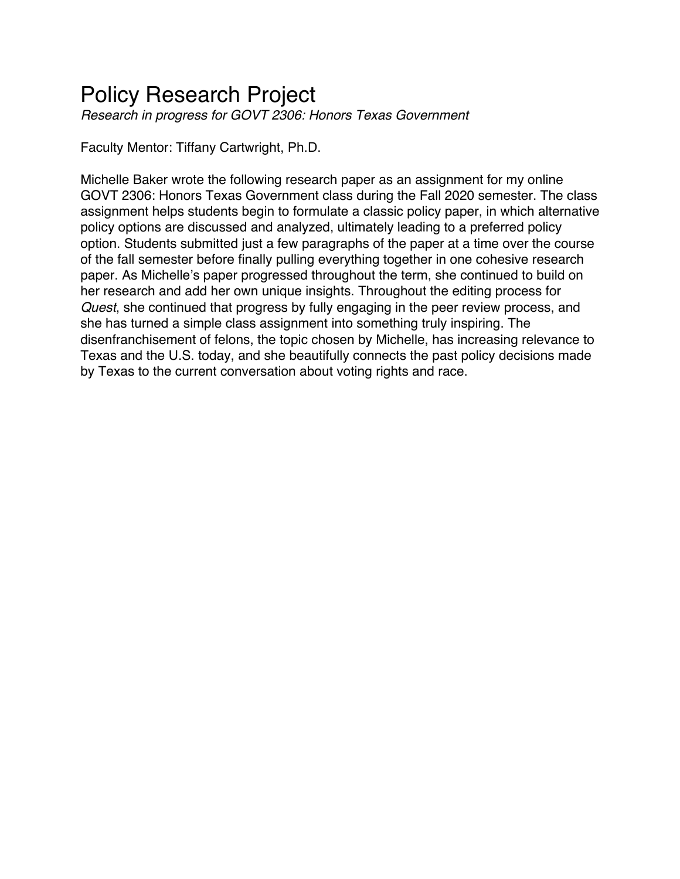# Policy Research Project

*Research in progress for GOVT 2306: Honors Texas Government*

Faculty Mentor: Tiffany Cartwright, Ph.D.

Michelle Baker wrote the following research paper as an assignment for my online GOVT 2306: Honors Texas Government class during the Fall 2020 semester. The class assignment helps students begin to formulate a classic policy paper, in which alternative policy options are discussed and analyzed, ultimately leading to a preferred policy option. Students submitted just a few paragraphs of the paper at a time over the course of the fall semester before finally pulling everything together in one cohesive research paper. As Michelle's paper progressed throughout the term, she continued to build on her research and add her own unique insights. Throughout the editing process for *Quest*, she continued that progress by fully engaging in the peer review process, and she has turned a simple class assignment into something truly inspiring. The disenfranchisement of felons, the topic chosen by Michelle, has increasing relevance to Texas and the U.S. today, and she beautifully connects the past policy decisions made by Texas to the current conversation about voting rights and race.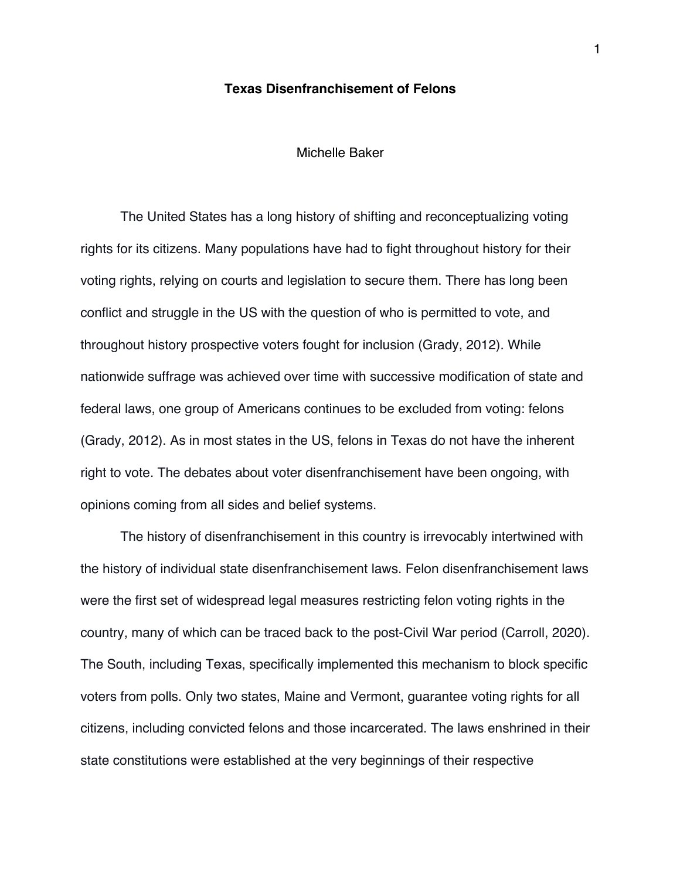### **Texas Disenfranchisement of Felons**

## Michelle Baker

The United States has a long history of shifting and reconceptualizing voting rights for its citizens. Many populations have had to fight throughout history for their voting rights, relying on courts and legislation to secure them. There has long been conflict and struggle in the US with the question of who is permitted to vote, and throughout history prospective voters fought for inclusion (Grady, 2012). While nationwide suffrage was achieved over time with successive modification of state and federal laws, one group of Americans continues to be excluded from voting: felons (Grady, 2012). As in most states in the US, felons in Texas do not have the inherent right to vote. The debates about voter disenfranchisement have been ongoing, with opinions coming from all sides and belief systems.

The history of disenfranchisement in this country is irrevocably intertwined with the history of individual state disenfranchisement laws. Felon disenfranchisement laws were the first set of widespread legal measures restricting felon voting rights in the country, many of which can be traced back to the post-Civil War period (Carroll, 2020). The South, including Texas, specifically implemented this mechanism to block specific voters from polls. Only two states, Maine and Vermont, guarantee voting rights for all citizens, including convicted felons and those incarcerated. The laws enshrined in their state constitutions were established at the very beginnings of their respective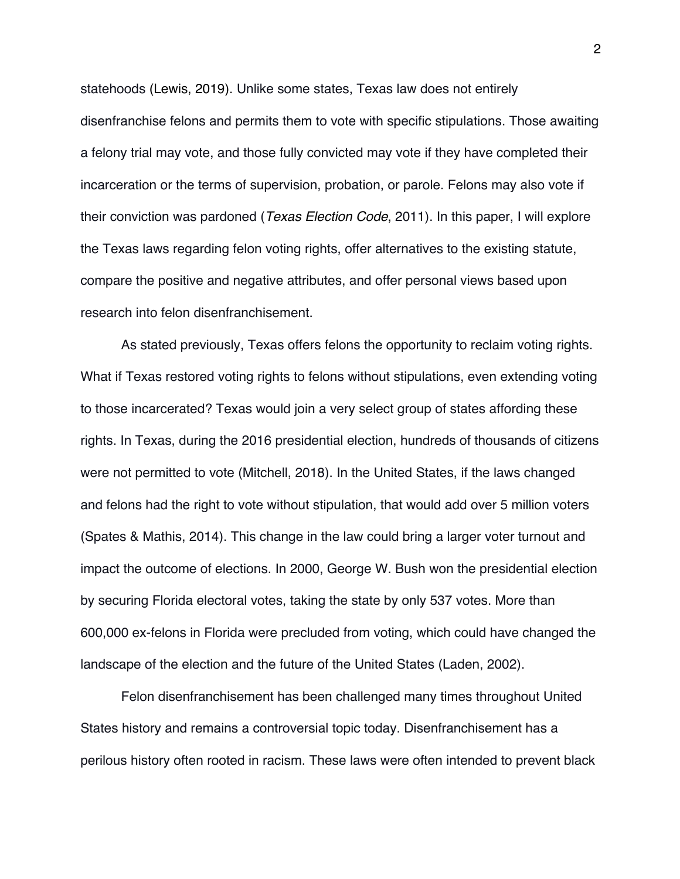statehoods (Lewis, 2019). Unlike some states, Texas law does not entirely disenfranchise felons and permits them to vote with specific stipulations. Those awaiting a felony trial may vote, and those fully convicted may vote if they have completed their incarceration or the terms of supervision, probation, or parole. Felons may also vote if their conviction was pardoned (*Texas Election Code*, 2011). In this paper, I will explore the Texas laws regarding felon voting rights, offer alternatives to the existing statute, compare the positive and negative attributes, and offer personal views based upon research into felon disenfranchisement.

As stated previously, Texas offers felons the opportunity to reclaim voting rights. What if Texas restored voting rights to felons without stipulations, even extending voting to those incarcerated? Texas would join a very select group of states affording these rights. In Texas, during the 2016 presidential election, hundreds of thousands of citizens were not permitted to vote (Mitchell, 2018). In the United States, if the laws changed and felons had the right to vote without stipulation, that would add over 5 million voters (Spates & Mathis, 2014). This change in the law could bring a larger voter turnout and impact the outcome of elections. In 2000, George W. Bush won the presidential election by securing Florida electoral votes, taking the state by only 537 votes. More than 600,000 ex-felons in Florida were precluded from voting, which could have changed the landscape of the election and the future of the United States (Laden, 2002).

Felon disenfranchisement has been challenged many times throughout United States history and remains a controversial topic today. Disenfranchisement has a perilous history often rooted in racism. These laws were often intended to prevent black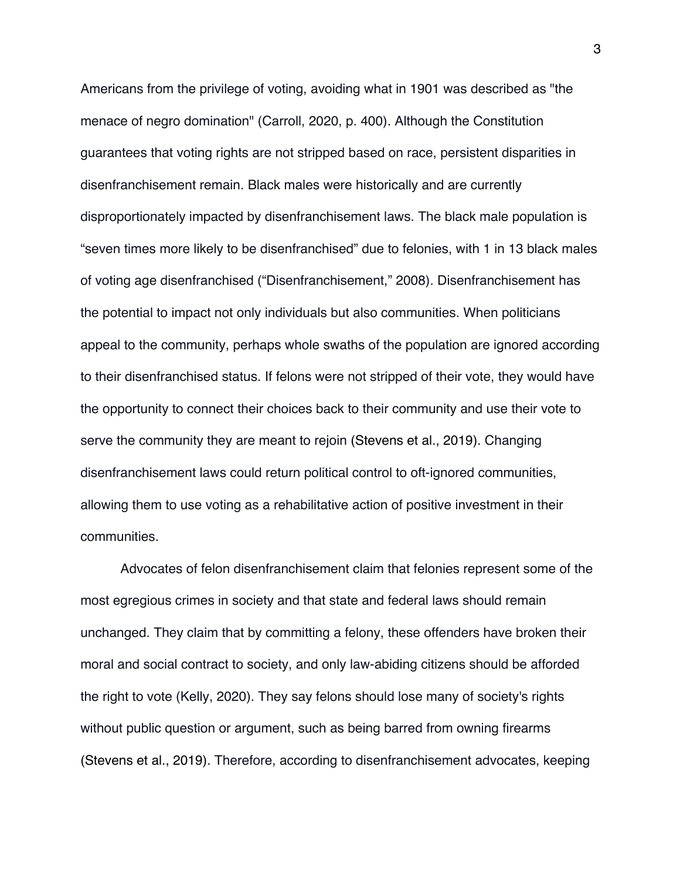Americans from the privilege of voting, avoiding what in 1901 was described as "the menace of negro domination" (Carroll, 2020, p. 400). Although the Constitution guarantees that voting rights are not stripped based on race, persistent disparities in disenfranchisement remain. Black males were historically and are currently disproportionately impacted by disenfranchisement laws. The black male population is "seven times more likely to be disenfranchised" due to felonies, with 1 in 13 black males of voting age disenfranchised ("Disenfranchisement," 2008). Disenfranchisement has the potential to impact not only individuals but also communities. When politicians appeal to the community, perhaps whole swaths of the population are ignored according to their disenfranchised status. If felons were not stripped of their vote, they would have the opportunity to connect their choices back to their community and use their vote to serve the community they are meant to rejoin (Stevens et al., 2019). Changing disenfranchisement laws could return political control to oft-ignored communities, allowing them to use voting as a rehabilitative action of positive investment in their communities.

Advocates of felon disenfranchisement claim that felonies represent some of the most egregious crimes in society and that state and federal laws should remain unchanged. They claim that by committing a felony, these offenders have broken their moral and social contract to society, and only law-abiding citizens should be afforded the right to vote (Kelly, 2020). They say felons should lose many of society's rights without public question or argument, such as being barred from owning firearms (Stevens et al., 2019). Therefore, according to disenfranchisement advocates, keeping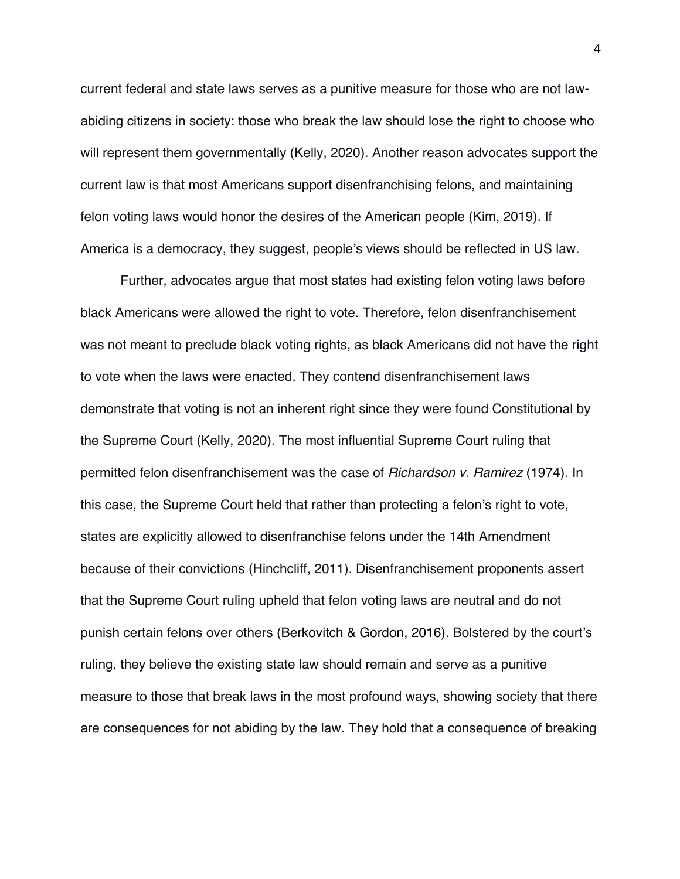current federal and state laws serves as a punitive measure for those who are not lawabiding citizens in society: those who break the law should lose the right to choose who will represent them governmentally (Kelly, 2020). Another reason advocates support the current law is that most Americans support disenfranchising felons, and maintaining felon voting laws would honor the desires of the American people (Kim, 2019). If America is a democracy, they suggest, people's views should be reflected in US law.

Further, advocates argue that most states had existing felon voting laws before black Americans were allowed the right to vote. Therefore, felon disenfranchisement was not meant to preclude black voting rights, as black Americans did not have the right to vote when the laws were enacted. They contend disenfranchisement laws demonstrate that voting is not an inherent right since they were found Constitutional by the Supreme Court (Kelly, 2020). The most influential Supreme Court ruling that permitted felon disenfranchisement was the case of *Richardson v. Ramirez* (1974). In this case, the Supreme Court held that rather than protecting a felon's right to vote, states are explicitly allowed to disenfranchise felons under the 14th Amendment because of their convictions (Hinchcliff, 2011). Disenfranchisement proponents assert that the Supreme Court ruling upheld that felon voting laws are neutral and do not punish certain felons over others (Berkovitch & Gordon, 2016). Bolstered by the court's ruling, they believe the existing state law should remain and serve as a punitive measure to those that break laws in the most profound ways, showing society that there are consequences for not abiding by the law. They hold that a consequence of breaking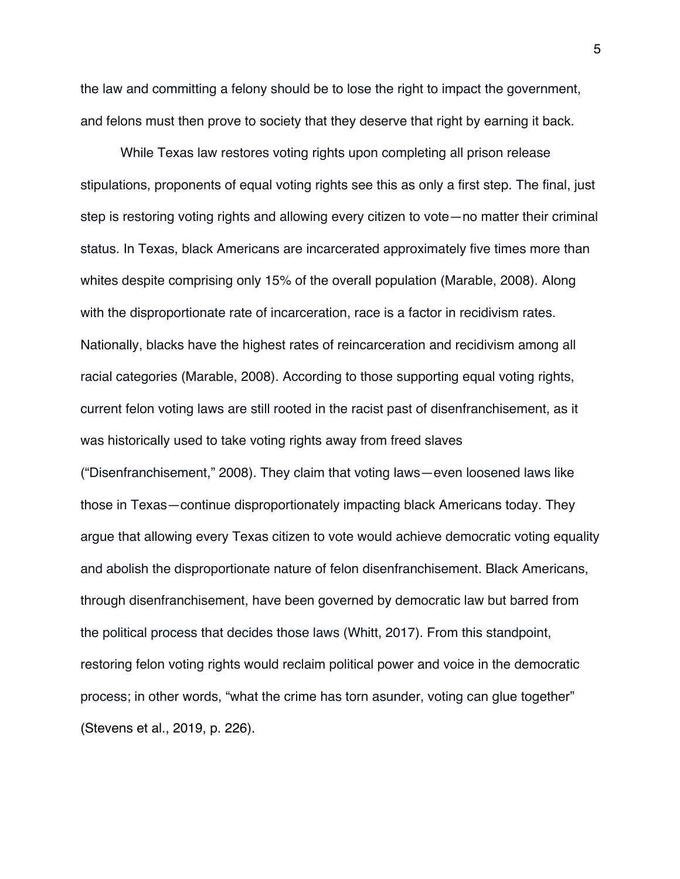the law and committing a felony should be to lose the right to impact the government, and felons must then prove to society that they deserve that right by earning it back.

While Texas law restores voting rights upon completing all prison release stipulations, proponents of equal voting rights see this as only a first step. The final, just step is restoring voting rights and allowing every citizen to vote—no matter their criminal status. In Texas, black Americans are incarcerated approximately five times more than whites despite comprising only 15% of the overall population (Marable, 2008). Along with the disproportionate rate of incarceration, race is a factor in recidivism rates. Nationally, blacks have the highest rates of reincarceration and recidivism among all racial categories (Marable, 2008). According to those supporting equal voting rights, current felon voting laws are still rooted in the racist past of disenfranchisement, as it was historically used to take voting rights away from freed slaves ("Disenfranchisement," 2008). They claim that voting laws—even loosened laws like those in Texas—continue disproportionately impacting black Americans today. They argue that allowing every Texas citizen to vote would achieve democratic voting equality and abolish the disproportionate nature of felon disenfranchisement. Black Americans, through disenfranchisement, have been governed by democratic law but barred from the political process that decides those laws (Whitt, 2017). From this standpoint, restoring felon voting rights would reclaim political power and voice in the democratic process; in other words, "what the crime has torn asunder, voting can glue together" (Stevens et al., 2019, p. 226).

5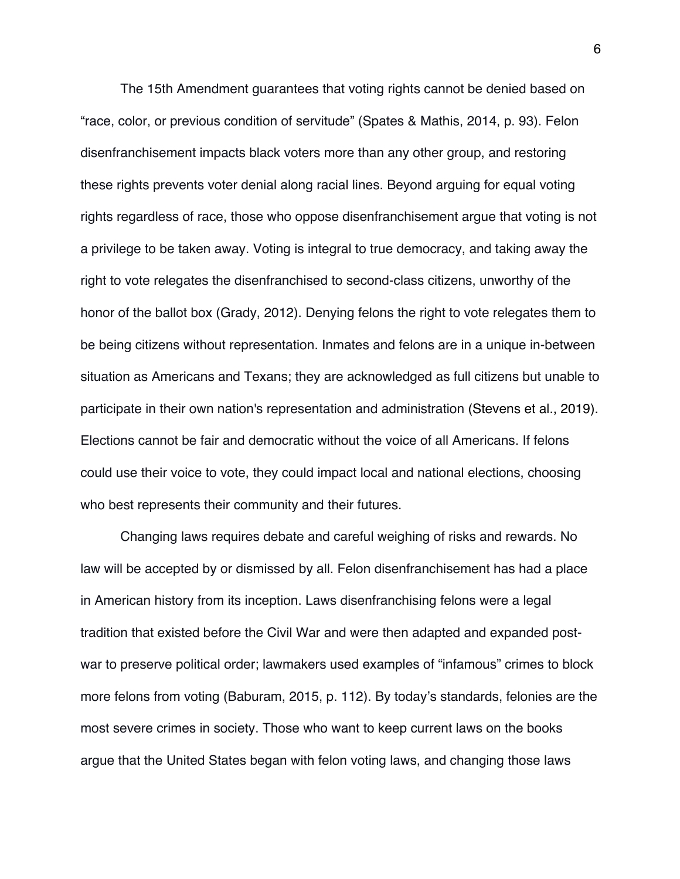The 15th Amendment guarantees that voting rights cannot be denied based on "race, color, or previous condition of servitude" (Spates & Mathis, 2014, p. 93). Felon disenfranchisement impacts black voters more than any other group, and restoring these rights prevents voter denial along racial lines. Beyond arguing for equal voting rights regardless of race, those who oppose disenfranchisement argue that voting is not a privilege to be taken away. Voting is integral to true democracy, and taking away the right to vote relegates the disenfranchised to second-class citizens, unworthy of the honor of the ballot box (Grady, 2012). Denying felons the right to vote relegates them to be being citizens without representation. Inmates and felons are in a unique in-between situation as Americans and Texans; they are acknowledged as full citizens but unable to participate in their own nation's representation and administration (Stevens et al., 2019). Elections cannot be fair and democratic without the voice of all Americans. If felons could use their voice to vote, they could impact local and national elections, choosing who best represents their community and their futures.

Changing laws requires debate and careful weighing of risks and rewards. No law will be accepted by or dismissed by all. Felon disenfranchisement has had a place in American history from its inception. Laws disenfranchising felons were a legal tradition that existed before the Civil War and were then adapted and expanded postwar to preserve political order; lawmakers used examples of "infamous" crimes to block more felons from voting (Baburam, 2015, p. 112). By today's standards, felonies are the most severe crimes in society. Those who want to keep current laws on the books argue that the United States began with felon voting laws, and changing those laws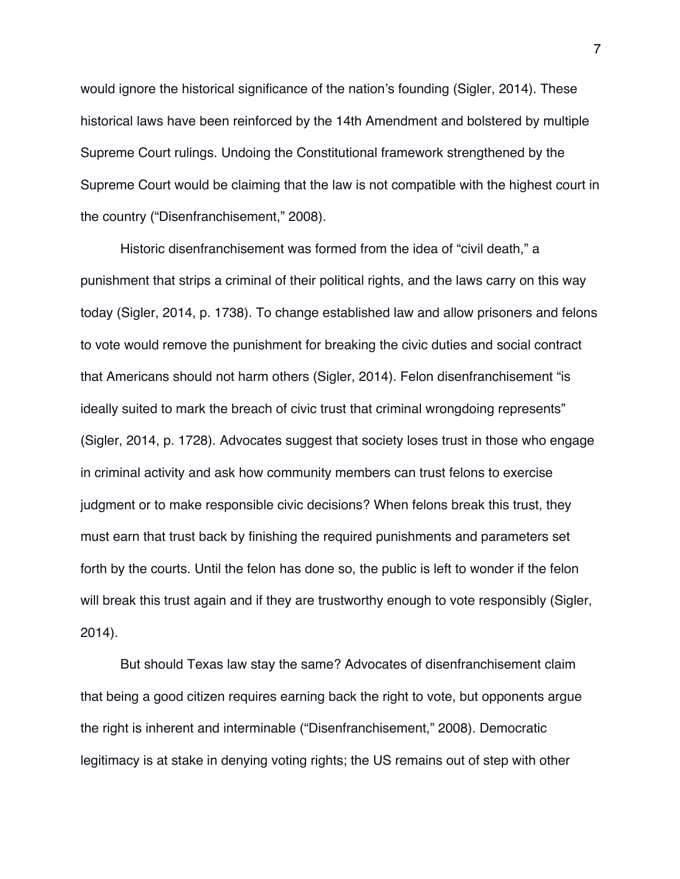would ignore the historical significance of the nation's founding (Sigler, 2014). These historical laws have been reinforced by the 14th Amendment and bolstered by multiple Supreme Court rulings. Undoing the Constitutional framework strengthened by the Supreme Court would be claiming that the law is not compatible with the highest court in the country ("Disenfranchisement," 2008).

Historic disenfranchisement was formed from the idea of "civil death," a punishment that strips a criminal of their political rights, and the laws carry on this way today (Sigler, 2014, p. 1738). To change established law and allow prisoners and felons to vote would remove the punishment for breaking the civic duties and social contract that Americans should not harm others (Sigler, 2014). Felon disenfranchisement "is ideally suited to mark the breach of civic trust that criminal wrongdoing represents" (Sigler, 2014, p. 1728). Advocates suggest that society loses trust in those who engage in criminal activity and ask how community members can trust felons to exercise judgment or to make responsible civic decisions? When felons break this trust, they must earn that trust back by finishing the required punishments and parameters set forth by the courts. Until the felon has done so, the public is left to wonder if the felon will break this trust again and if they are trustworthy enough to vote responsibly (Sigler, 2014).

But should Texas law stay the same? Advocates of disenfranchisement claim that being a good citizen requires earning back the right to vote, but opponents argue the right is inherent and interminable ("Disenfranchisement," 2008). Democratic legitimacy is at stake in denying voting rights; the US remains out of step with other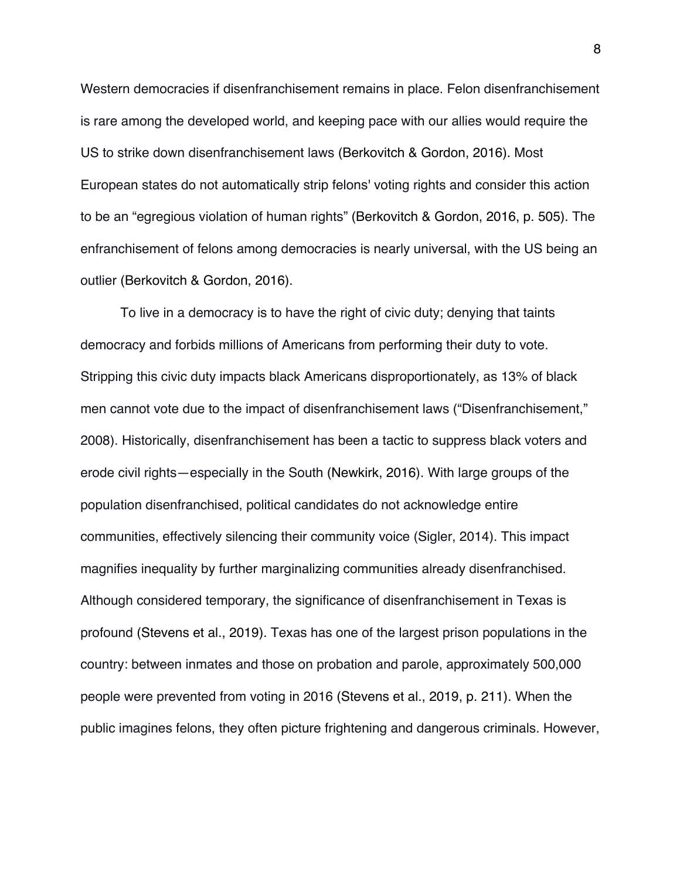Western democracies if disenfranchisement remains in place. Felon disenfranchisement is rare among the developed world, and keeping pace with our allies would require the US to strike down disenfranchisement laws (Berkovitch & Gordon, 2016). Most European states do not automatically strip felons' voting rights and consider this action to be an "egregious violation of human rights" (Berkovitch & Gordon, 2016, p. 505). The enfranchisement of felons among democracies is nearly universal, with the US being an outlier (Berkovitch & Gordon, 2016).

To live in a democracy is to have the right of civic duty; denying that taints democracy and forbids millions of Americans from performing their duty to vote. Stripping this civic duty impacts black Americans disproportionately, as 13% of black men cannot vote due to the impact of disenfranchisement laws ("Disenfranchisement," 2008). Historically, disenfranchisement has been a tactic to suppress black voters and erode civil rights—especially in the South (Newkirk, 2016). With large groups of the population disenfranchised, political candidates do not acknowledge entire communities, effectively silencing their community voice (Sigler, 2014). This impact magnifies inequality by further marginalizing communities already disenfranchised. Although considered temporary, the significance of disenfranchisement in Texas is profound (Stevens et al., 2019). Texas has one of the largest prison populations in the country: between inmates and those on probation and parole, approximately 500,000 people were prevented from voting in 2016 (Stevens et al., 2019, p. 211). When the public imagines felons, they often picture frightening and dangerous criminals. However,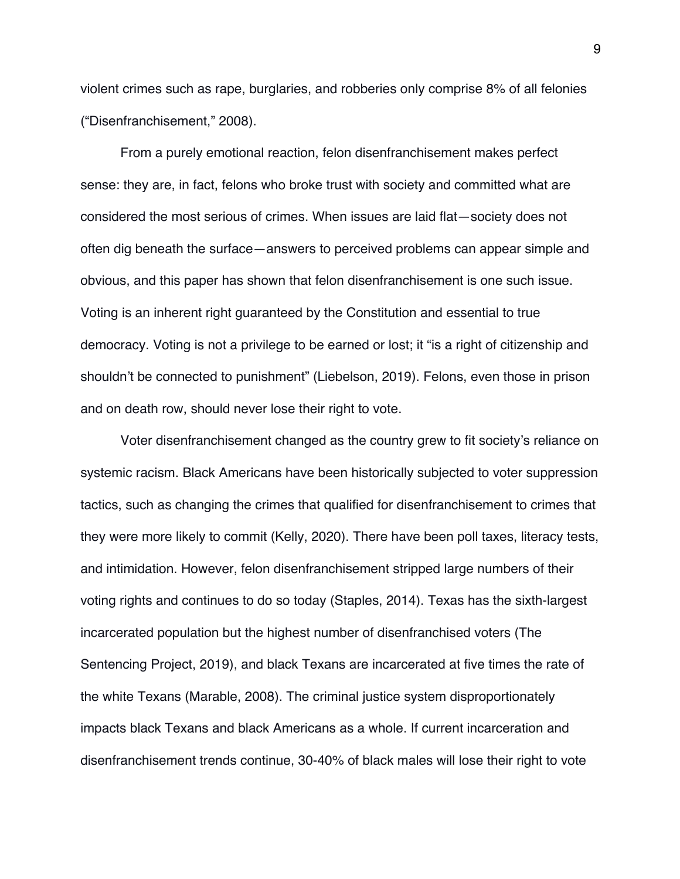violent crimes such as rape, burglaries, and robberies only comprise 8% of all felonies ("Disenfranchisement," 2008).

From a purely emotional reaction, felon disenfranchisement makes perfect sense: they are, in fact, felons who broke trust with society and committed what are considered the most serious of crimes. When issues are laid flat—society does not often dig beneath the surface—answers to perceived problems can appear simple and obvious, and this paper has shown that felon disenfranchisement is one such issue. Voting is an inherent right guaranteed by the Constitution and essential to true democracy. Voting is not a privilege to be earned or lost; it "is a right of citizenship and shouldn't be connected to punishment" (Liebelson, 2019). Felons, even those in prison and on death row, should never lose their right to vote.

Voter disenfranchisement changed as the country grew to fit society's reliance on systemic racism. Black Americans have been historically subjected to voter suppression tactics, such as changing the crimes that qualified for disenfranchisement to crimes that they were more likely to commit (Kelly, 2020). There have been poll taxes, literacy tests, and intimidation. However, felon disenfranchisement stripped large numbers of their voting rights and continues to do so today (Staples, 2014). Texas has the sixth-largest incarcerated population but the highest number of disenfranchised voters (The Sentencing Project, 2019), and black Texans are incarcerated at five times the rate of the white Texans (Marable, 2008). The criminal justice system disproportionately impacts black Texans and black Americans as a whole. If current incarceration and disenfranchisement trends continue, 30-40% of black males will lose their right to vote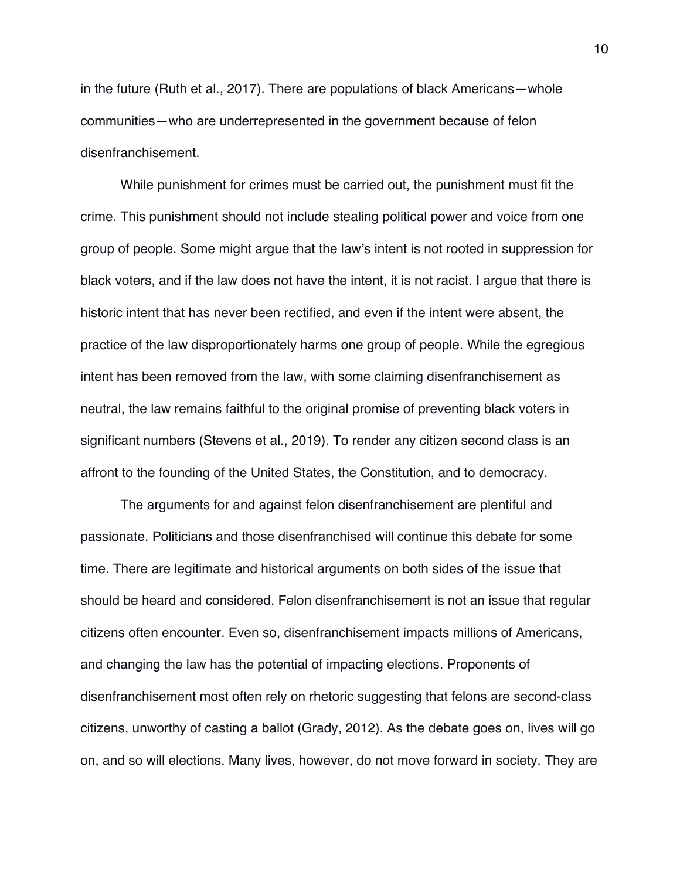in the future (Ruth et al., 2017). There are populations of black Americans—whole communities—who are underrepresented in the government because of felon disenfranchisement.

While punishment for crimes must be carried out, the punishment must fit the crime. This punishment should not include stealing political power and voice from one group of people. Some might argue that the law's intent is not rooted in suppression for black voters, and if the law does not have the intent, it is not racist. I argue that there is historic intent that has never been rectified, and even if the intent were absent, the practice of the law disproportionately harms one group of people. While the egregious intent has been removed from the law, with some claiming disenfranchisement as neutral, the law remains faithful to the original promise of preventing black voters in significant numbers (Stevens et al., 2019). To render any citizen second class is an affront to the founding of the United States, the Constitution, and to democracy.

The arguments for and against felon disenfranchisement are plentiful and passionate. Politicians and those disenfranchised will continue this debate for some time. There are legitimate and historical arguments on both sides of the issue that should be heard and considered. Felon disenfranchisement is not an issue that regular citizens often encounter. Even so, disenfranchisement impacts millions of Americans, and changing the law has the potential of impacting elections. Proponents of disenfranchisement most often rely on rhetoric suggesting that felons are second-class citizens, unworthy of casting a ballot (Grady, 2012). As the debate goes on, lives will go on, and so will elections. Many lives, however, do not move forward in society. They are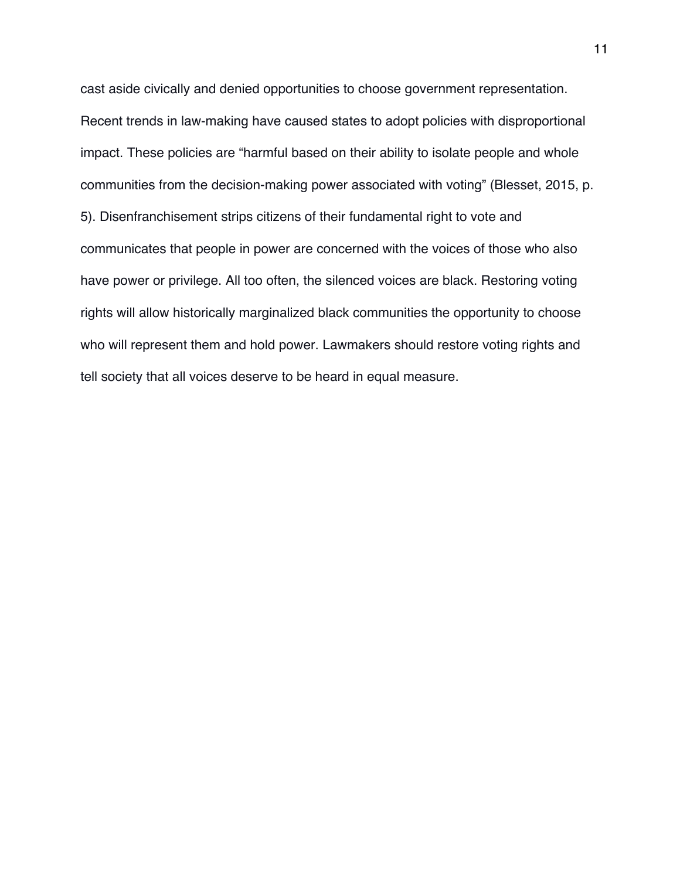cast aside civically and denied opportunities to choose government representation. Recent trends in law-making have caused states to adopt policies with disproportional impact. These policies are "harmful based on their ability to isolate people and whole communities from the decision-making power associated with voting" (Blesset, 2015, p. 5). Disenfranchisement strips citizens of their fundamental right to vote and communicates that people in power are concerned with the voices of those who also have power or privilege. All too often, the silenced voices are black. Restoring voting rights will allow historically marginalized black communities the opportunity to choose who will represent them and hold power. Lawmakers should restore voting rights and tell society that all voices deserve to be heard in equal measure.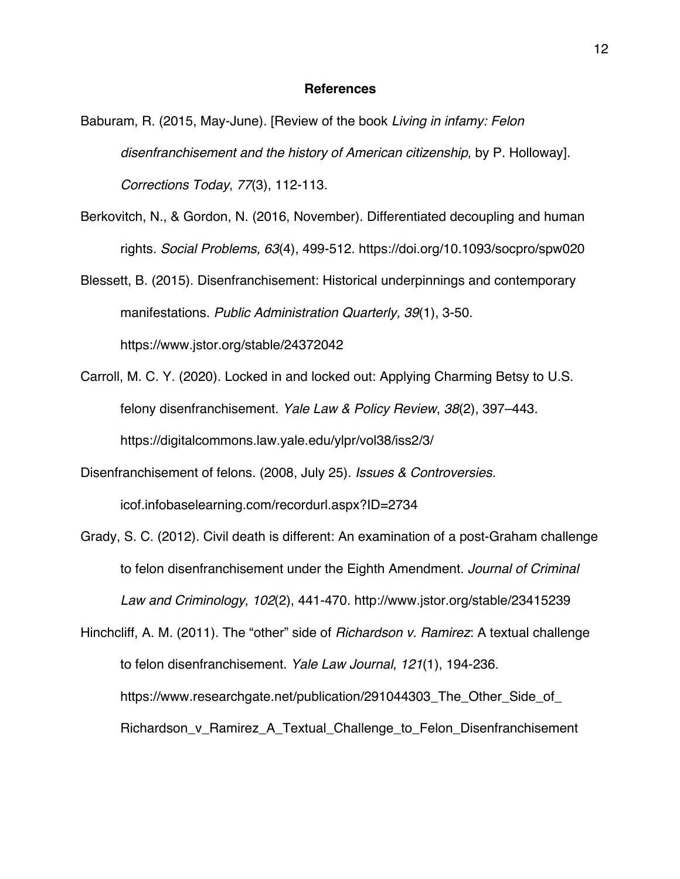### **References**

- Baburam, R. (2015, May-June). [Review of the book *Living in infamy: Felon disenfranchisement and the history of American citizenship*, by P. Holloway]. *Corrections Today*, *77*(3), 112-113.
- Berkovitch, N., & Gordon, N. (2016, November). Differentiated decoupling and human rights. *Social Problems, 63*(4), 499-512. https://doi.org/10.1093/socpro/spw020

Blessett, B. (2015). Disenfranchisement: Historical underpinnings and contemporary manifestations. *Public Administration Quarterly, 39*(1), 3-50. https://www.jstor.org/stable/24372042

Carroll, M. C. Y. (2020). Locked in and locked out: Applying Charming Betsy to U.S. felony disenfranchisement. *Yale Law & Policy Review*, *38*(2), 397–443. https://digitalcommons.law.yale.edu/ylpr/vol38/iss2/3/

Disenfranchisement of felons. (2008, July 25). *Issues & Controversies.* icof.infobaselearning.com/recordurl.aspx?ID=2734

Grady, S. C. (2012). Civil death is different: An examination of a post-Graham challenge to felon disenfranchisement under the Eighth Amendment. *Journal of Criminal Law and Criminology*, *102*(2), 441-470. http://www.jstor.org/stable/23415239

Hinchcliff, A. M. (2011). The "other" side of *Richardson v. Ramirez*: A textual challenge to felon disenfranchisement. *Yale Law Journal*, *121*(1), 194-236. https://www.researchgate.net/publication/291044303 The Other Side of Richardson\_v\_Ramirez\_A\_Textual\_Challenge\_to\_Felon\_Disenfranchisement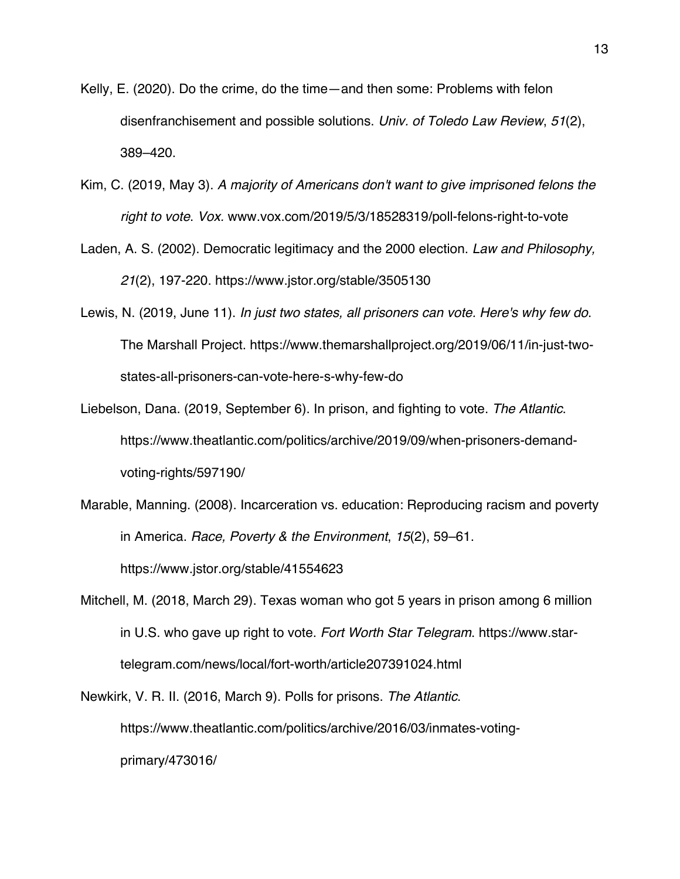- Kelly, E. (2020). Do the crime, do the time—and then some: Problems with felon disenfranchisement and possible solutions. *Univ. of Toledo Law Review*, *51*(2), 389–420.
- Kim, C. (2019, May 3). *A majority of Americans don't want to give imprisoned felons the right to vote*. *Vox.* www.vox.com/2019/5/3/18528319/poll-felons-right-to-vote
- Laden, A. S. (2002). Democratic legitimacy and the 2000 election. *Law and Philosophy, 21*(2), 197-220. https://www.jstor.org/stable/3505130
- Lewis, N. (2019, June 11). *In just two states, all prisoners can vote. Here's why few do*. The Marshall Project. https://www.themarshallproject.org/2019/06/11/in-just-twostates-all-prisoners-can-vote-here-s-why-few-do
- Liebelson, Dana. (2019, September 6). In prison, and fighting to vote. *The Atlantic*. https://www.theatlantic.com/politics/archive/2019/09/when-prisoners-demandvoting-rights/597190/
- Marable, Manning. (2008). Incarceration vs. education: Reproducing racism and poverty in America. *Race, Poverty & the Environment*, *15*(2), 59–61. https://www.jstor.org/stable/41554623
- Mitchell, M. (2018, March 29). Texas woman who got 5 years in prison among 6 million in U.S. who gave up right to vote. *Fort Worth Star Telegram*. https://www.startelegram.com/news/local/fort-worth/article207391024.html
- Newkirk, V. R. II. (2016, March 9). Polls for prisons. *The Atlantic*. https://www.theatlantic.com/politics/archive/2016/03/inmates-votingprimary/473016/